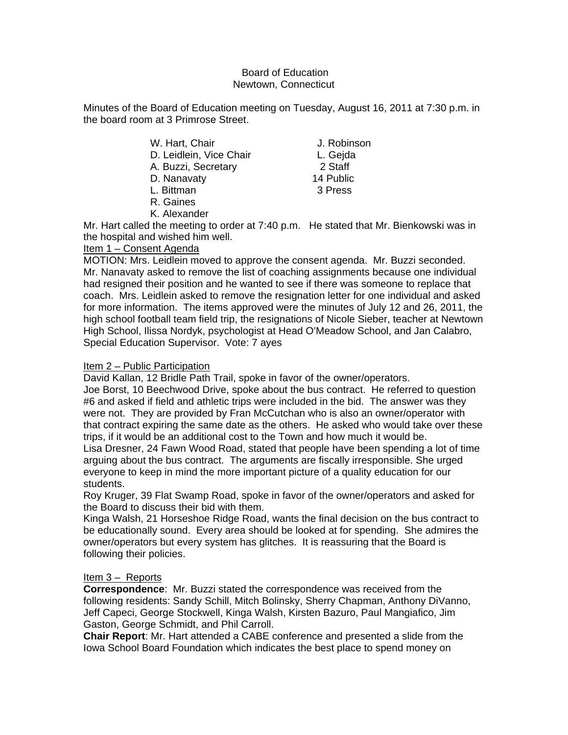### Board of Education Newtown, Connecticut

Minutes of the Board of Education meeting on Tuesday, August 16, 2011 at 7:30 p.m. in the board room at 3 Primrose Street.

| W. Hart, Chair          | J. Robinson |
|-------------------------|-------------|
| D. Leidlein, Vice Chair | L. Gejda    |
| A. Buzzi, Secretary     | 2 Staff     |
| D. Nanavaty             | 14 Public   |
| L. Bittman              | 3 Press     |
| R. Gaines               |             |
| K. Alexander            |             |

Mr. Hart called the meeting to order at 7:40 p.m. He stated that Mr. Bienkowski was in the hospital and wished him well.

# Item 1 – Consent Agenda

MOTION: Mrs. Leidlein moved to approve the consent agenda. Mr. Buzzi seconded. Mr. Nanavaty asked to remove the list of coaching assignments because one individual had resigned their position and he wanted to see if there was someone to replace that coach. Mrs. Leidlein asked to remove the resignation letter for one individual and asked for more information. The items approved were the minutes of July 12 and 26, 2011, the high school football team field trip, the resignations of Nicole Sieber, teacher at Newtown High School, Ilissa Nordyk, psychologist at Head O'Meadow School, and Jan Calabro, Special Education Supervisor. Vote: 7 ayes

### Item 2 – Public Participation

David Kallan, 12 Bridle Path Trail, spoke in favor of the owner/operators.

Joe Borst, 10 Beechwood Drive, spoke about the bus contract. He referred to question #6 and asked if field and athletic trips were included in the bid. The answer was they were not. They are provided by Fran McCutchan who is also an owner/operator with that contract expiring the same date as the others. He asked who would take over these trips, if it would be an additional cost to the Town and how much it would be.

Lisa Dresner, 24 Fawn Wood Road, stated that people have been spending a lot of time arguing about the bus contract. The arguments are fiscally irresponsible. She urged everyone to keep in mind the more important picture of a quality education for our students.

Roy Kruger, 39 Flat Swamp Road, spoke in favor of the owner/operators and asked for the Board to discuss their bid with them.

Kinga Walsh, 21 Horseshoe Ridge Road, wants the final decision on the bus contract to be educationally sound. Every area should be looked at for spending. She admires the owner/operators but every system has glitches. It is reassuring that the Board is following their policies.

# Item 3 – Reports

**Correspondence**: Mr. Buzzi stated the correspondence was received from the following residents: Sandy Schill, Mitch Bolinsky, Sherry Chapman, Anthony DiVanno, Jeff Capeci, George Stockwell, Kinga Walsh, Kirsten Bazuro, Paul Mangiafico, Jim Gaston, George Schmidt, and Phil Carroll.

**Chair Report**: Mr. Hart attended a CABE conference and presented a slide from the Iowa School Board Foundation which indicates the best place to spend money on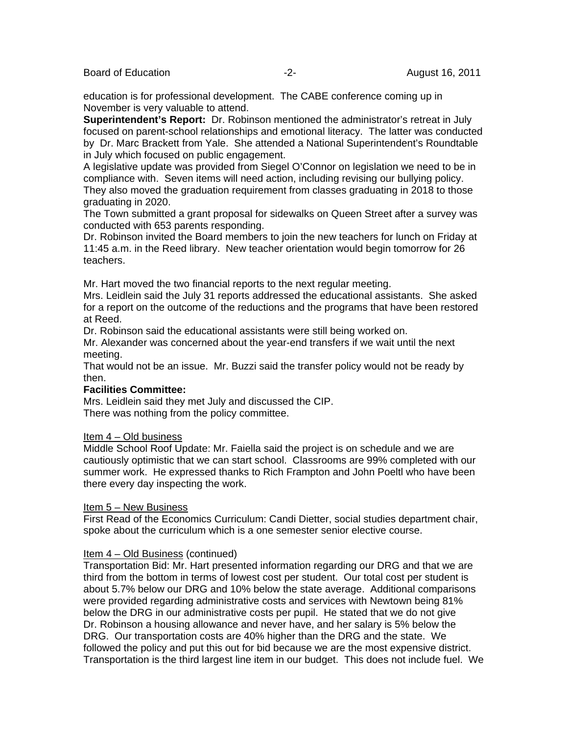Board of Education **-2-** August 16, 2011

education is for professional development. The CABE conference coming up in November is very valuable to attend.

**Superintendent's Report:** Dr. Robinson mentioned the administrator's retreat in July focused on parent-school relationships and emotional literacy. The latter was conducted by Dr. Marc Brackett from Yale. She attended a National Superintendent's Roundtable in July which focused on public engagement.

A legislative update was provided from Siegel O'Connor on legislation we need to be in compliance with. Seven items will need action, including revising our bullying policy. They also moved the graduation requirement from classes graduating in 2018 to those graduating in 2020.

The Town submitted a grant proposal for sidewalks on Queen Street after a survey was conducted with 653 parents responding.

Dr. Robinson invited the Board members to join the new teachers for lunch on Friday at 11:45 a.m. in the Reed library. New teacher orientation would begin tomorrow for 26 teachers.

Mr. Hart moved the two financial reports to the next regular meeting.

Mrs. Leidlein said the July 31 reports addressed the educational assistants. She asked for a report on the outcome of the reductions and the programs that have been restored at Reed.

Dr. Robinson said the educational assistants were still being worked on.

Mr. Alexander was concerned about the year-end transfers if we wait until the next meeting.

That would not be an issue. Mr. Buzzi said the transfer policy would not be ready by then.

#### **Facilities Committee:**

Mrs. Leidlein said they met July and discussed the CIP. There was nothing from the policy committee.

#### Item 4 – Old business

Middle School Roof Update: Mr. Faiella said the project is on schedule and we are cautiously optimistic that we can start school. Classrooms are 99% completed with our summer work. He expressed thanks to Rich Frampton and John Poeltl who have been there every day inspecting the work.

#### Item 5 – New Business

First Read of the Economics Curriculum: Candi Dietter, social studies department chair, spoke about the curriculum which is a one semester senior elective course.

#### Item 4 – Old Business (continued)

Transportation Bid: Mr. Hart presented information regarding our DRG and that we are third from the bottom in terms of lowest cost per student. Our total cost per student is about 5.7% below our DRG and 10% below the state average. Additional comparisons were provided regarding administrative costs and services with Newtown being 81% below the DRG in our administrative costs per pupil. He stated that we do not give Dr. Robinson a housing allowance and never have, and her salary is 5% below the DRG. Our transportation costs are 40% higher than the DRG and the state. We followed the policy and put this out for bid because we are the most expensive district. Transportation is the third largest line item in our budget. This does not include fuel. We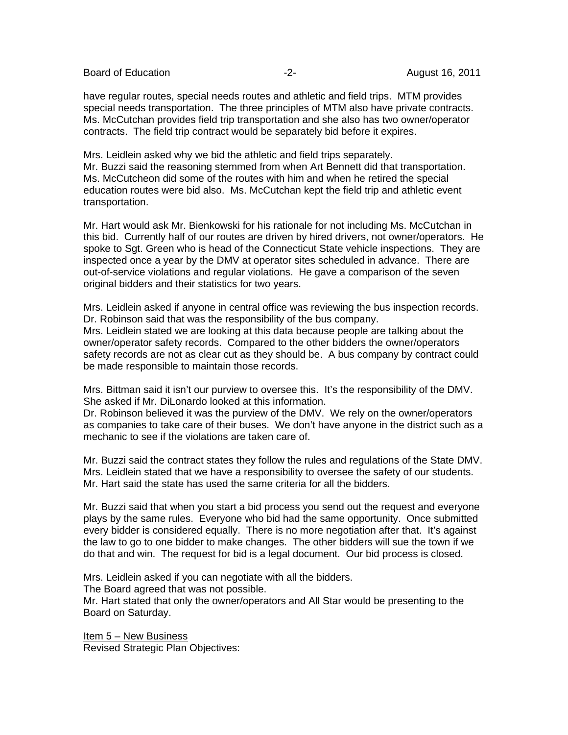Board of Education **-2-** August 16, 2011

have regular routes, special needs routes and athletic and field trips. MTM provides special needs transportation. The three principles of MTM also have private contracts. Ms. McCutchan provides field trip transportation and she also has two owner/operator contracts. The field trip contract would be separately bid before it expires.

Mrs. Leidlein asked why we bid the athletic and field trips separately. Mr. Buzzi said the reasoning stemmed from when Art Bennett did that transportation. Ms. McCutcheon did some of the routes with him and when he retired the special education routes were bid also. Ms. McCutchan kept the field trip and athletic event transportation.

Mr. Hart would ask Mr. Bienkowski for his rationale for not including Ms. McCutchan in this bid. Currently half of our routes are driven by hired drivers, not owner/operators. He spoke to Sgt. Green who is head of the Connecticut State vehicle inspections. They are inspected once a year by the DMV at operator sites scheduled in advance. There are out-of-service violations and regular violations. He gave a comparison of the seven original bidders and their statistics for two years.

Mrs. Leidlein asked if anyone in central office was reviewing the bus inspection records. Dr. Robinson said that was the responsibility of the bus company. Mrs. Leidlein stated we are looking at this data because people are talking about the owner/operator safety records. Compared to the other bidders the owner/operators safety records are not as clear cut as they should be. A bus company by contract could be made responsible to maintain those records.

Mrs. Bittman said it isn't our purview to oversee this. It's the responsibility of the DMV. She asked if Mr. DiLonardo looked at this information.

Dr. Robinson believed it was the purview of the DMV. We rely on the owner/operators as companies to take care of their buses. We don't have anyone in the district such as a mechanic to see if the violations are taken care of.

Mr. Buzzi said the contract states they follow the rules and regulations of the State DMV. Mrs. Leidlein stated that we have a responsibility to oversee the safety of our students. Mr. Hart said the state has used the same criteria for all the bidders.

Mr. Buzzi said that when you start a bid process you send out the request and everyone plays by the same rules. Everyone who bid had the same opportunity. Once submitted every bidder is considered equally. There is no more negotiation after that. It's against the law to go to one bidder to make changes. The other bidders will sue the town if we do that and win. The request for bid is a legal document. Our bid process is closed.

Mrs. Leidlein asked if you can negotiate with all the bidders.

The Board agreed that was not possible.

Mr. Hart stated that only the owner/operators and All Star would be presenting to the Board on Saturday.

Item 5 – New Business Revised Strategic Plan Objectives: